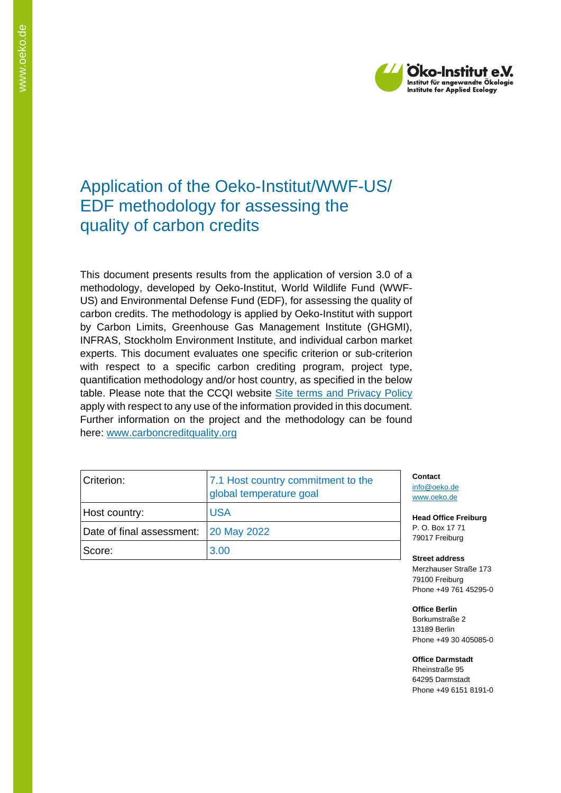

# Application of the Oeko-Institut/WWF-US/ EDF methodology for assessing the quality of carbon credits

This document presents results from the application of version 3.0 of a methodology, developed by Oeko-Institut, World Wildlife Fund (WWF-US) and Environmental Defense Fund (EDF), for assessing the quality of carbon credits. The methodology is applied by Oeko-Institut with support by Carbon Limits, Greenhouse Gas Management Institute (GHGMI), INFRAS, Stockholm Environment Institute, and individual carbon market experts. This document evaluates one specific criterion or sub-criterion with respect to a specific carbon crediting program, project type, quantification methodology and/or host country, as specified in the below table. Please note that the CCQI website [Site terms and Privacy Policy](https://carboncreditquality.org/terms.html) apply with respect to any use of the information provided in this document. Further information on the project and the methodology can be found here: [www.carboncreditquality.org](http://www.carboncreditquality.org/)

| Criterion:                            | 7.1 Host country commitment to the<br>global temperature goal |
|---------------------------------------|---------------------------------------------------------------|
| Host country:                         | <b>USA</b>                                                    |
| Date of final assessment: 20 May 2022 |                                                               |
| Score:                                | 3.00                                                          |

**Contact** [info@oeko.de](mailto:info@oeko.de) [www.oeko.de](http://www.oeko.de/)

**Head Office Freiburg** P. O. Box 17 71 79017 Freiburg

**Street address** Merzhauser Straße 173 79100 Freiburg Phone +49 761 45295-0

**Office Berlin** Borkumstraße 2 13189 Berlin Phone +49 30 405085-0

**Office Darmstadt** Rheinstraße 95

64295 Darmstadt Phone +49 6151 8191-0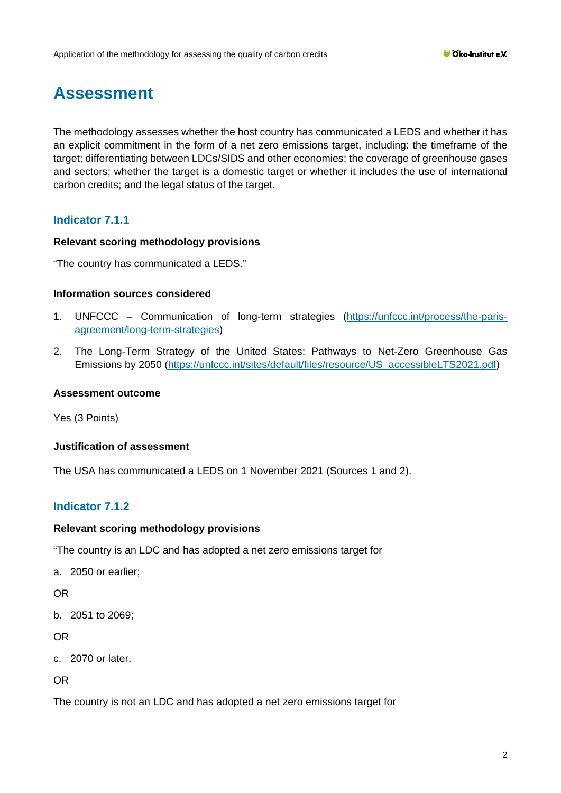# **Assessment**

The methodology assesses whether the host country has communicated a LEDS and whether it has an explicit commitment in the form of a net zero emissions target, including: the timeframe of the target; differentiating between LDCs/SIDS and other economies; the coverage of greenhouse gases and sectors; whether the target is a domestic target or whether it includes the use of international carbon credits; and the legal status of the target.

# **Indicator 7.1.1**

#### **Relevant scoring methodology provisions**

"The country has communicated a LEDS."

#### **Information sources considered**

- 1. UNFCCC Communication of long-term strategies [\(https://unfccc.int/process/the-paris](https://unfccc.int/process/the-paris-agreement/long-term-strategies)[agreement/long-term-strategies\)](https://unfccc.int/process/the-paris-agreement/long-term-strategies)
- 2. The Long-Term Strategy of the United States: Pathways to Net-Zero Greenhouse Gas Emissions by 2050 [\(https://unfccc.int/sites/default/files/resource/US\\_accessibleLTS2021.pdf\)](https://unfccc.int/sites/default/files/resource/US_accessibleLTS2021.pdf)

#### **Assessment outcome**

Yes (3 Points)

#### **Justification of assessment**

The USA has communicated a LEDS on 1 November 2021 (Sources 1 and 2).

# **Indicator 7.1.2**

#### **Relevant scoring methodology provisions**

"The country is an LDC and has adopted a net zero emissions target for

a. 2050 or earlier;

OR

b. 2051 to 2069;

OR

```
c. 2070 or later.
```
OR

The country is not an LDC and has adopted a net zero emissions target for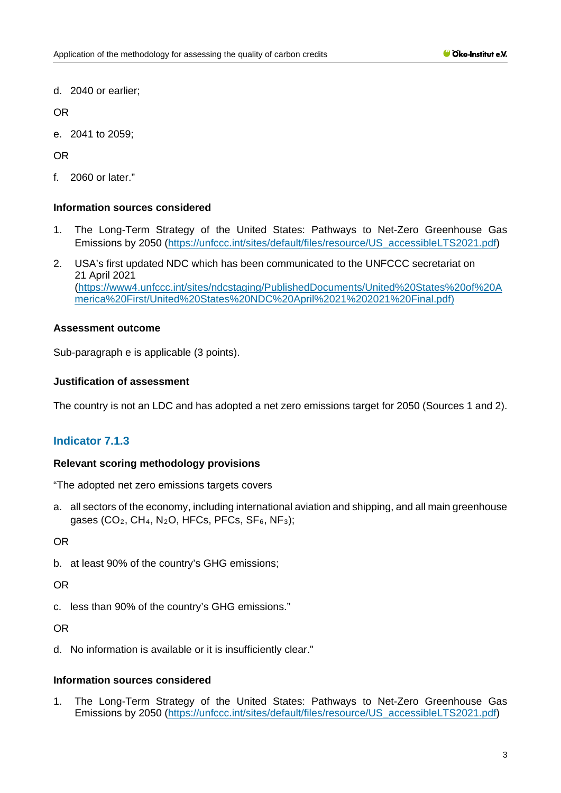d. 2040 or earlier;

OR

e. 2041 to 2059;

OR

f. 2060 or later."

## **Information sources considered**

- 1. The Long-Term Strategy of the United States: Pathways to Net-Zero Greenhouse Gas Emissions by 2050 [\(https://unfccc.int/sites/default/files/resource/US\\_accessibleLTS2021.pdf\)](https://unfccc.int/sites/default/files/resource/US_accessibleLTS2021.pdf)
- 2. USA's first updated NDC which has been communicated to the UNFCCC secretariat on 21 April 2021 [\(https://www4.unfccc.int/sites/ndcstaging/PublishedDocuments/United%20States%20of%20A](https://www4.unfccc.int/sites/ndcstaging/PublishedDocuments/United%20States%20of%20America%20First/United%20States%20NDC%20April%2021%202021%20Final.pdf) [merica%20First/United%20States%20NDC%20April%2021%202021%20Final.pdf\)](https://www4.unfccc.int/sites/ndcstaging/PublishedDocuments/United%20States%20of%20America%20First/United%20States%20NDC%20April%2021%202021%20Final.pdf)

## **Assessment outcome**

Sub-paragraph e is applicable (3 points).

## **Justification of assessment**

The country is not an LDC and has adopted a net zero emissions target for 2050 (Sources 1 and 2).

# **Indicator 7.1.3**

#### **Relevant scoring methodology provisions**

"The adopted net zero emissions targets covers

a. all sectors of the economy, including international aviation and shipping, and all main greenhouse gases (CO<sub>2</sub>, CH<sub>4</sub>, N<sub>2</sub>O, HFCs, PFCs, SF<sub>6</sub>, NF<sub>3</sub>);

OR

b. at least 90% of the country's GHG emissions;

OR

c. less than 90% of the country's GHG emissions."

OR

d. No information is available or it is insufficiently clear."

# **Information sources considered**

1. The Long-Term Strategy of the United States: Pathways to Net-Zero Greenhouse Gas Emissions by 2050 [\(https://unfccc.int/sites/default/files/resource/US\\_accessibleLTS2021.pdf\)](https://unfccc.int/sites/default/files/resource/US_accessibleLTS2021.pdf)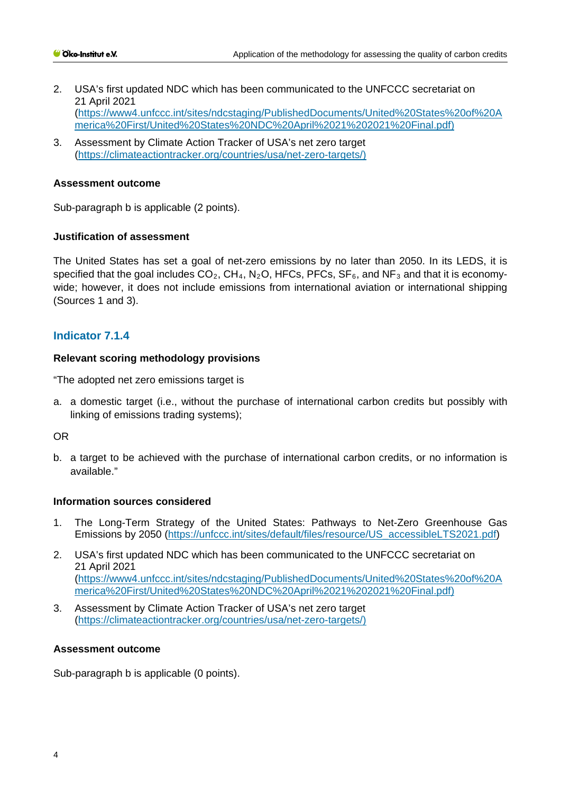- 2. USA's first updated NDC which has been communicated to the UNFCCC secretariat on 21 April 2021 [\(https://www4.unfccc.int/sites/ndcstaging/PublishedDocuments/United%20States%20of%20A](https://www4.unfccc.int/sites/ndcstaging/PublishedDocuments/United%20States%20of%20America%20First/United%20States%20NDC%20April%2021%202021%20Final.pdf) [merica%20First/United%20States%20NDC%20April%2021%202021%20Final.pdf\)](https://www4.unfccc.int/sites/ndcstaging/PublishedDocuments/United%20States%20of%20America%20First/United%20States%20NDC%20April%2021%202021%20Final.pdf)
- 3. Assessment by Climate Action Tracker of USA's net zero target [\(https://climateactiontracker.org/countries/usa/net-zero-targets/\)](https://climateactiontracker.org/countries/usa/net-zero-targets/)

#### **Assessment outcome**

Sub-paragraph b is applicable (2 points).

#### **Justification of assessment**

The United States has set a goal of net-zero emissions by no later than 2050. In its LEDS, it is specified that the goal includes  $CO_2$ ,  $CH_4$ , N<sub>2</sub>O, HFCs, PFCs, SF<sub>6</sub>, and NF<sub>3</sub> and that it is economywide; however, it does not include emissions from international aviation or international shipping (Sources 1 and 3).

## **Indicator 7.1.4**

#### **Relevant scoring methodology provisions**

"The adopted net zero emissions target is

a. a domestic target (i.e., without the purchase of international carbon credits but possibly with linking of emissions trading systems);

#### OR

b. a target to be achieved with the purchase of international carbon credits, or no information is available."

#### **Information sources considered**

- 1. The Long-Term Strategy of the United States: Pathways to Net-Zero Greenhouse Gas Emissions by 2050 [\(https://unfccc.int/sites/default/files/resource/US\\_accessibleLTS2021.pdf\)](https://unfccc.int/sites/default/files/resource/US_accessibleLTS2021.pdf)
- 2. USA's first updated NDC which has been communicated to the UNFCCC secretariat on 21 April 2021 [\(https://www4.unfccc.int/sites/ndcstaging/PublishedDocuments/United%20States%20of%20A](https://www4.unfccc.int/sites/ndcstaging/PublishedDocuments/United%20States%20of%20America%20First/United%20States%20NDC%20April%2021%202021%20Final.pdf) [merica%20First/United%20States%20NDC%20April%2021%202021%20Final.pdf\)](https://www4.unfccc.int/sites/ndcstaging/PublishedDocuments/United%20States%20of%20America%20First/United%20States%20NDC%20April%2021%202021%20Final.pdf)
- 3. Assessment by Climate Action Tracker of USA's net zero target [\(https://climateactiontracker.org/countries/usa/net-zero-targets/\)](https://climateactiontracker.org/countries/usa/net-zero-targets/)

#### **Assessment outcome**

Sub-paragraph b is applicable (0 points).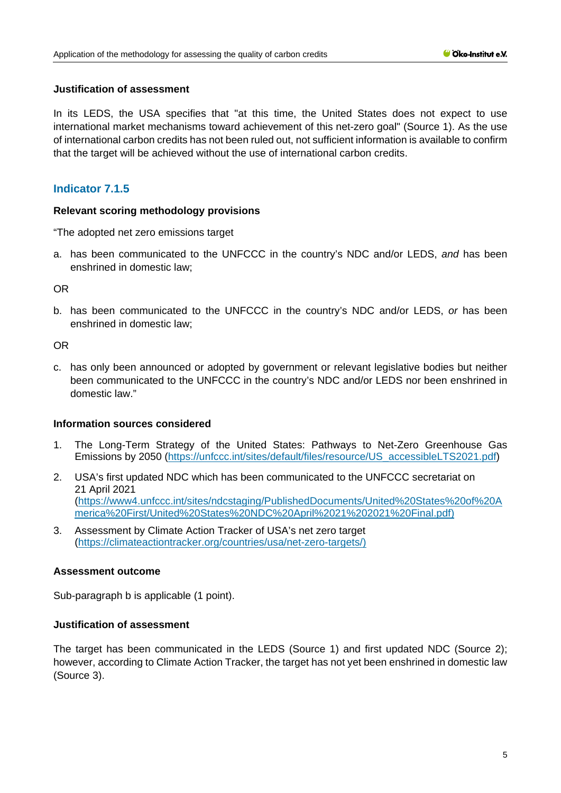#### **Justification of assessment**

In its LEDS, the USA specifies that "at this time, the United States does not expect to use international market mechanisms toward achievement of this net-zero goal" (Source 1). As the use of international carbon credits has not been ruled out, not sufficient information is available to confirm that the target will be achieved without the use of international carbon credits.

# **Indicator 7.1.5**

#### **Relevant scoring methodology provisions**

"The adopted net zero emissions target

a. has been communicated to the UNFCCC in the country's NDC and/or LEDS, *and* has been enshrined in domestic law;

OR

b. has been communicated to the UNFCCC in the country's NDC and/or LEDS, *or* has been enshrined in domestic law;

OR

c. has only been announced or adopted by government or relevant legislative bodies but neither been communicated to the UNFCCC in the country's NDC and/or LEDS nor been enshrined in domestic law."

#### **Information sources considered**

- 1. The Long-Term Strategy of the United States: Pathways to Net-Zero Greenhouse Gas Emissions by 2050 [\(https://unfccc.int/sites/default/files/resource/US\\_accessibleLTS2021.pdf\)](https://unfccc.int/sites/default/files/resource/US_accessibleLTS2021.pdf)
- 2. USA's first updated NDC which has been communicated to the UNFCCC secretariat on 21 April 2021 [\(https://www4.unfccc.int/sites/ndcstaging/PublishedDocuments/United%20States%20of%20A](https://www4.unfccc.int/sites/ndcstaging/PublishedDocuments/United%20States%20of%20America%20First/United%20States%20NDC%20April%2021%202021%20Final.pdf) [merica%20First/United%20States%20NDC%20April%2021%202021%20Final.pdf\)](https://www4.unfccc.int/sites/ndcstaging/PublishedDocuments/United%20States%20of%20America%20First/United%20States%20NDC%20April%2021%202021%20Final.pdf)
- 3. Assessment by Climate Action Tracker of USA's net zero target [\(https://climateactiontracker.org/countries/usa/net-zero-targets/\)](https://climateactiontracker.org/countries/usa/net-zero-targets/)

#### **Assessment outcome**

Sub-paragraph b is applicable (1 point).

### **Justification of assessment**

The target has been communicated in the LEDS (Source 1) and first updated NDC (Source 2); however, according to Climate Action Tracker, the target has not yet been enshrined in domestic law (Source 3).